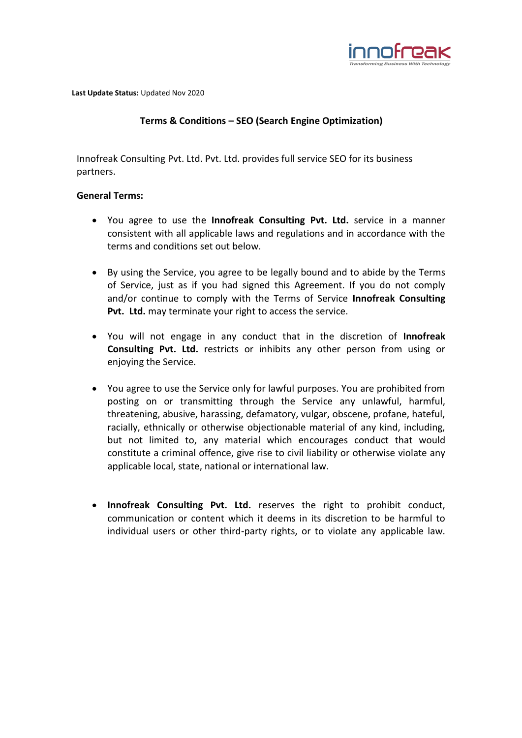

**Last Update Status:** Updated Nov 2020

## **Terms & Conditions – SEO (Search Engine Optimization)**

Innofreak Consulting Pvt. Ltd. Pvt. Ltd. provides full service SEO for its business partners.

## **General Terms:**

- You agree to use the **Innofreak Consulting Pvt. Ltd.** service in a manner consistent with all applicable laws and regulations and in accordance with the terms and conditions set out below.
- By using the Service, you agree to be legally bound and to abide by the Terms of Service, just as if you had signed this Agreement. If you do not comply and/or continue to comply with the Terms of Service **Innofreak Consulting Pvt. Ltd.** may terminate your right to access the service.
- You will not engage in any conduct that in the discretion of **Innofreak Consulting Pvt. Ltd.** restricts or inhibits any other person from using or enjoying the Service.
- You agree to use the Service only for lawful purposes. You are prohibited from posting on or transmitting through the Service any unlawful, harmful, threatening, abusive, harassing, defamatory, vulgar, obscene, profane, hateful, racially, ethnically or otherwise objectionable material of any kind, including, but not limited to, any material which encourages conduct that would constitute a criminal offence, give rise to civil liability or otherwise violate any applicable local, state, national or international law.
- **Innofreak Consulting Pvt. Ltd.** reserves the right to prohibit conduct, communication or content which it deems in its discretion to be harmful to individual users or other third-party rights, or to violate any applicable law.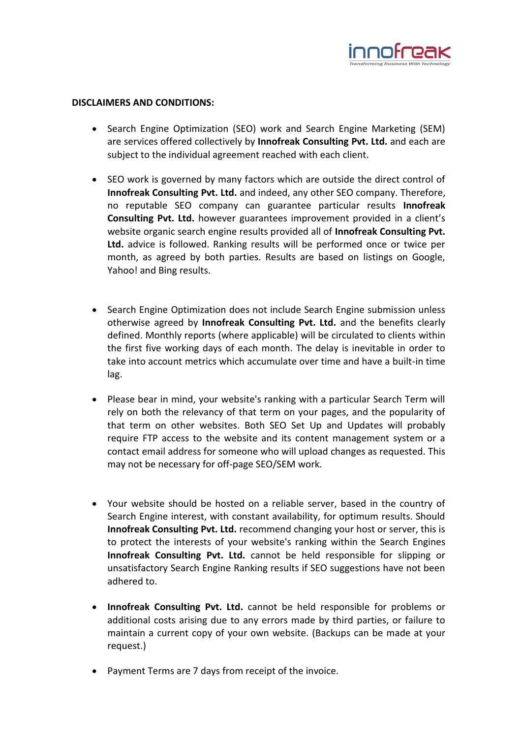

## **DISCLAIMERS AND CONDITIONS:**

- Search Engine Optimization (SEO) work and Search Engine Marketing (SEM) are services offered collectively by **Innofreak Consulting Pvt. Ltd.** and each are subject to the individual agreement reached with each client.
- SEO work is governed by many factors which are outside the direct control of **Innofreak Consulting Pvt. Ltd.** and indeed, any other SEO company. Therefore, no reputable SEO company can guarantee particular results **Innofreak Consulting Pvt. Ltd.** however guarantees improvement provided in a client's website organic search engine results provided all of **Innofreak Consulting Pvt. Ltd.** advice is followed. Ranking results will be performed once or twice per month, as agreed by both parties. Results are based on listings on Google, Yahoo! and Bing results.
- Search Engine Optimization does not include Search Engine submission unless otherwise agreed by **Innofreak Consulting Pvt. Ltd.** and the benefits clearly defined. Monthly reports (where applicable) will be circulated to clients within the first five working days of each month. The delay is inevitable in order to take into account metrics which accumulate over time and have a built-in time lag.
- Please bear in mind, your website's ranking with a particular Search Term will rely on both the relevancy of that term on your pages, and the popularity of that term on other websites. Both SEO Set Up and Updates will probably require FTP access to the website and its content management system or a contact email address for someone who will upload changes as requested. This may not be necessary for off-page SEO/SEM work.
- Your website should be hosted on a reliable server, based in the country of Search Engine interest, with constant availability, for optimum results. Should **Innofreak Consulting Pvt. Ltd.** recommend changing your host or server, this is to protect the interests of your website's ranking within the Search Engines **Innofreak Consulting Pvt. Ltd.** cannot be held responsible for slipping or unsatisfactory Search Engine Ranking results if SEO suggestions have not been adhered to.
- **Innofreak Consulting Pvt. Ltd.** cannot be held responsible for problems or additional costs arising due to any errors made by third parties, or failure to maintain a current copy of your own website. (Backups can be made at your request.)
- Payment Terms are 7 days from receipt of the invoice.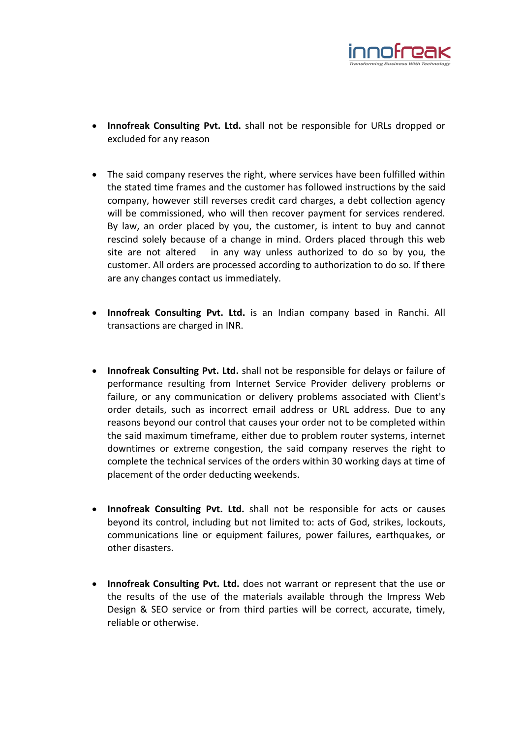

- **Innofreak Consulting Pvt. Ltd.** shall not be responsible for URLs dropped or excluded for any reason
- The said company reserves the right, where services have been fulfilled within the stated time frames and the customer has followed instructions by the said company, however still reverses credit card charges, a debt collection agency will be commissioned, who will then recover payment for services rendered. By law, an order placed by you, the customer, is intent to buy and cannot rescind solely because of a change in mind. Orders placed through this web site are not altered in any way unless authorized to do so by you, the customer. All orders are processed according to authorization to do so. If there are any changes contact us immediately.
- **Innofreak Consulting Pvt. Ltd.** is an Indian company based in Ranchi. All transactions are charged in INR.
- **Innofreak Consulting Pvt. Ltd.** shall not be responsible for delays or failure of performance resulting from Internet Service Provider delivery problems or failure, or any communication or delivery problems associated with Client's order details, such as incorrect email address or URL address. Due to any reasons beyond our control that causes your order not to be completed within the said maximum timeframe, either due to problem router systems, internet downtimes or extreme congestion, the said company reserves the right to complete the technical services of the orders within 30 working days at time of placement of the order deducting weekends.
- **Innofreak Consulting Pvt. Ltd.** shall not be responsible for acts or causes beyond its control, including but not limited to: acts of God, strikes, lockouts, communications line or equipment failures, power failures, earthquakes, or other disasters.
- **Innofreak Consulting Pvt. Ltd.** does not warrant or represent that the use or the results of the use of the materials available through the Impress Web Design & SEO service or from third parties will be correct, accurate, timely, reliable or otherwise.